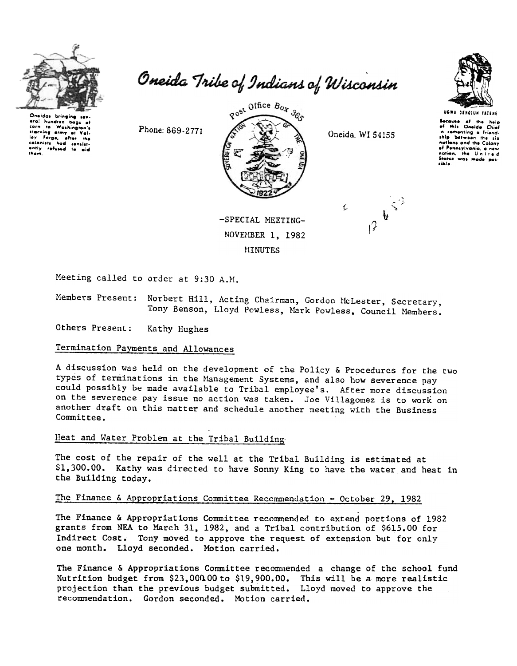

Oneida Tribe of Indians of Wisconsin

eral hundred bags starving army at calanists had consist-<br>ently refused to aid<br>tham,

Phone: 869-2771



MINUTES

Oneida, WI 54155

 $u^{\zeta^2}$ 



Because of the<br>of this Oneida in comenting a friend-<br>ship between the six nations and the Calony of Pennsylvania

States was med

aible



Meeting called to order at 9:30 A.M.

Members Present: Norbert Hill, Acting Chairman, Gordon McLester, Secretary, Tony Benson, Lloyd Powless, Mark Powless, Council Members.

Others Present: Kathy Hughes

## Termination Payments and Allowances

A discussion was held on the development of the Policy & Procedures for the two types of terminations in the Management Systems, and also how severence pay could possibly be made available to Tribal employee's. After more discussion on the severence pay issue no action was taken. Joe Villagomez is to work on another draft on this matter and schedule another meeting with the Business Committee.

# Heat and Water Problem at the Tribal Building

The cost of the repair of the well at the Tribal Building is estimated at \$1,300.00. Kathy was directed to have Sonny King to have the water and heat in the Building today.

### The Finance & Appropriations Committee Recommendation - October 29, 1982

The Finance & Appropriations Committee recommended to extend portions of 1982 grants from NEA to March 31, 1982, and a Tribal contribution of \$615.00 for Indirect Cost. Tony moved to approve the request of extension but for only one month. Lloyd seconded. Motion carried.

The Finance & Appropriations Committee recommended a change of the school fund Nutrition budget from \$23,000.00 to \$19,900.00. This will be a more realistic projection than the previous budget submitted. Lloyd moved to approve the recommendation. Gordon seconded. Motion carried.